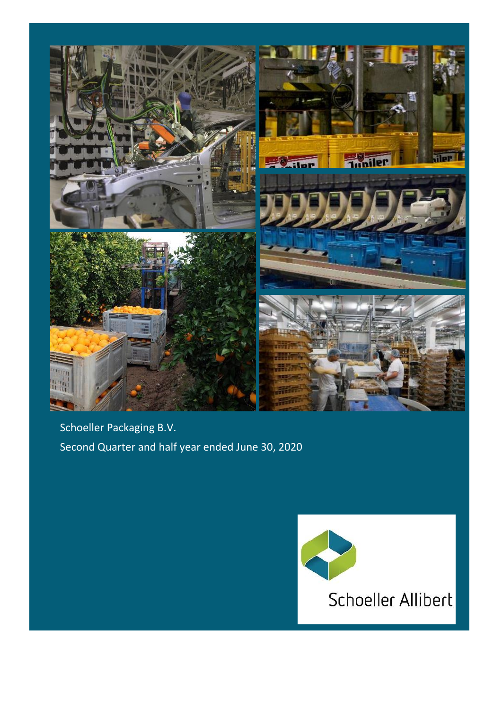

Schoeller Packaging B.V. Second Quarter and half year ended June 30, 2020

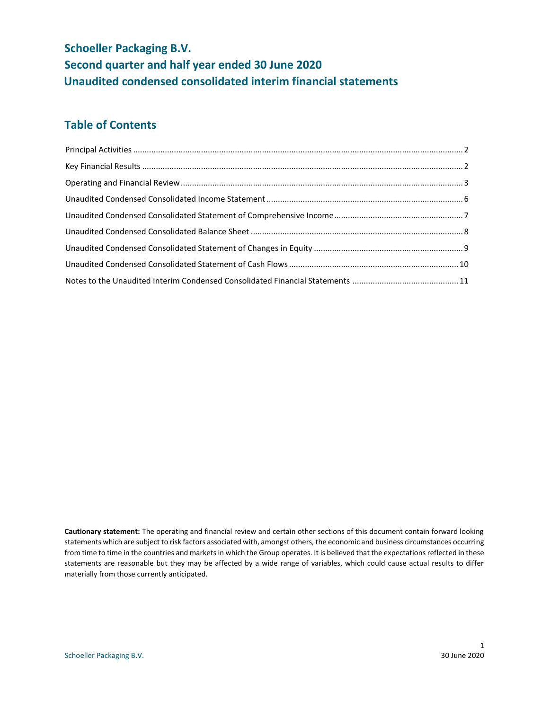# **Schoeller Packaging B.V. Second quarter and half year ended 30 June 2020 Unaudited condensed consolidated interim financial statements**

## **Table of Contents**

**Cautionary statement:** The operating and financial review and certain other sections of this document contain forward looking statements which are subject to risk factors associated with, amongst others, the economic and business circumstances occurring from time to time in the countries and markets in which the Group operates. It is believed that the expectations reflected in these statements are reasonable but they may be affected by a wide range of variables, which could cause actual results to differ materially from those currently anticipated.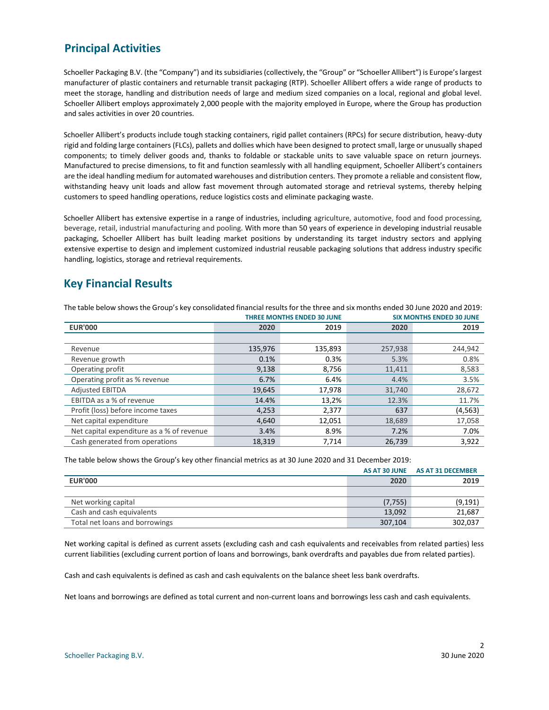### <span id="page-2-0"></span>**Principal Activities**

Schoeller Packaging B.V. (the "Company") and its subsidiaries (collectively, the "Group" or "Schoeller Allibert") is Europe's largest manufacturer of plastic containers and returnable transit packaging (RTP). Schoeller Allibert offers a wide range of products to meet the storage, handling and distribution needs of large and medium sized companies on a local, regional and global level. Schoeller Allibert employs approximately 2,000 people with the majority employed in Europe, where the Group has production and sales activities in over 20 countries.

Schoeller Allibert's products include tough stacking containers, rigid pallet containers (RPCs) for secure distribution, heavy-duty rigid and folding large containers (FLCs), pallets and dollies which have been designed to protect small, large or unusually shaped components; to timely deliver goods and, thanks to foldable or stackable units to save valuable space on return journeys. Manufactured to precise dimensions, to fit and function seamlessly with all handling equipment, Schoeller Allibert's containers are the ideal handling medium for automated warehouses and distribution centers. They promote a reliable and consistent flow, withstanding heavy unit loads and allow fast movement through automated storage and retrieval systems, thereby helping customers to speed handling operations, reduce logistics costs and eliminate packaging waste.

Schoeller Allibert has extensive expertise in a range of industries, including agriculture, automotive, food and food processing, beverage, retail, industrial manufacturing and pooling. With more than 50 years of experience in developing industrial reusable packaging, Schoeller Allibert has built leading market positions by understanding its target industry sectors and applying extensive expertise to design and implement customized industrial reusable packaging solutions that address industry specific handling, logistics, storage and retrieval requirements.

### <span id="page-2-1"></span>**Key Financial Results**

|                                           |         | <b>THREE MONTHS ENDED 30 JUNE</b> |         | <b>SIX MONTHS ENDED 30 JUNE</b> |
|-------------------------------------------|---------|-----------------------------------|---------|---------------------------------|
| <b>EUR'000</b>                            | 2020    | 2019                              | 2020    | 2019                            |
|                                           |         |                                   |         |                                 |
| Revenue                                   | 135,976 | 135,893                           | 257,938 | 244,942                         |
| Revenue growth                            | 0.1%    | 0.3%                              | 5.3%    | 0.8%                            |
| Operating profit                          | 9,138   | 8,756                             | 11,411  | 8,583                           |
| Operating profit as % revenue             | 6.7%    | 6.4%                              | 4.4%    | 3.5%                            |
| <b>Adjusted EBITDA</b>                    | 19,645  | 17,978                            | 31,740  | 28,672                          |
| EBITDA as a % of revenue                  | 14.4%   | 13,2%                             | 12.3%   | 11.7%                           |
| Profit (loss) before income taxes         | 4,253   | 2,377                             | 637     | (4, 563)                        |
| Net capital expenditure                   | 4,640   | 12,051                            | 18,689  | 17,058                          |
| Net capital expenditure as a % of revenue | 3.4%    | 8.9%                              | 7.2%    | 7.0%                            |
| Cash generated from operations            | 18,319  | 7.714                             | 26,739  | 3,922                           |

The table below shows the Group's key consolidated financial results for the three and six months ended 30 June 2020 and 2019:

The table below shows the Group's key other financial metrics as at 30 June 2020 and 31 December 2019:

|                                |          | AS AT 30 JUNE AS AT 31 DECEMBER |
|--------------------------------|----------|---------------------------------|
| <b>EUR'000</b>                 | 2020     | 2019                            |
|                                |          |                                 |
| Net working capital            | (7, 755) | (9, 191)                        |
| Cash and cash equivalents      | 13.092   | 21,687                          |
| Total net loans and borrowings | 307,104  | 302.037                         |

Net working capital is defined as current assets (excluding cash and cash equivalents and receivables from related parties) less current liabilities (excluding current portion of loans and borrowings, bank overdrafts and payables due from related parties).

Cash and cash equivalents is defined as cash and cash equivalents on the balance sheet less bank overdrafts.

Net loans and borrowings are defined as total current and non-current loans and borrowings less cash and cash equivalents.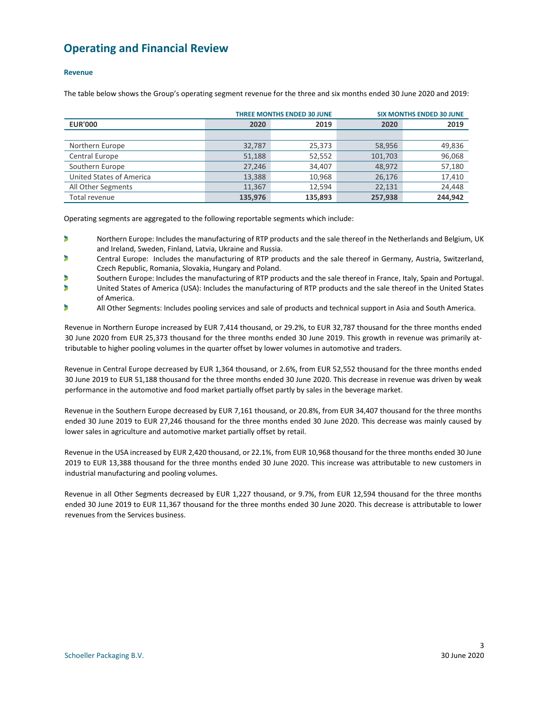### <span id="page-3-0"></span>**Operating and Financial Review**

#### **Revenue**

The table below shows the Group's operating segment revenue for the three and six months ended 30 June 2020 and 2019:

|                          |         | <b>THREE MONTHS ENDED 30 JUNE</b> |         | <b>SIX MONTHS ENDED 30 JUNE</b> |
|--------------------------|---------|-----------------------------------|---------|---------------------------------|
| <b>EUR'000</b>           | 2020    | 2019                              | 2020    | 2019                            |
|                          |         |                                   |         |                                 |
| Northern Europe          | 32,787  | 25,373                            | 58,956  | 49,836                          |
| <b>Central Europe</b>    | 51,188  | 52,552                            | 101,703 | 96,068                          |
| Southern Europe          | 27,246  | 34,407                            | 48,972  | 57,180                          |
| United States of America | 13,388  | 10,968                            | 26,176  | 17,410                          |
| All Other Segments       | 11,367  | 12.594                            | 22,131  | 24,448                          |
| Total revenue            | 135,976 | 135,893                           | 257.938 | 244.942                         |

Operating segments are aggregated to the following reportable segments which include:

- × Northern Europe: Includes the manufacturing of RTP products and the sale thereof in the Netherlands and Belgium, UK and Ireland, Sweden, Finland, Latvia, Ukraine and Russia.
- ٠ Central Europe: Includes the manufacturing of RTP products and the sale thereof in Germany, Austria, Switzerland, Czech Republic, Romania, Slovakia, Hungary and Poland.
- ¥ Southern Europe: Includes the manufacturing of RTP products and the sale thereof in France, Italy, Spain and Portugal.
- United States of America (USA): Includes the manufacturing of RTP products and the sale thereof in the United States of America.
- All Other Segments: Includes pooling services and sale of products and technical support in Asia and South America.

Revenue in Northern Europe increased by EUR 7,414 thousand, or 29.2%, to EUR 32,787 thousand for the three months ended 30 June 2020 from EUR 25,373 thousand for the three months ended 30 June 2019. This growth in revenue was primarily attributable to higher pooling volumes in the quarter offset by lower volumes in automotive and traders.

Revenue in Central Europe decreased by EUR 1,364 thousand, or 2.6%, from EUR 52,552 thousand for the three months ended 30 June 2019 to EUR 51,188 thousand for the three months ended 30 June 2020. This decrease in revenue was driven by weak performance in the automotive and food market partially offset partly by sales in the beverage market.

Revenue in the Southern Europe decreased by EUR 7,161 thousand, or 20.8%, from EUR 34,407 thousand for the three months ended 30 June 2019 to EUR 27,246 thousand for the three months ended 30 June 2020. This decrease was mainly caused by lower sales in agriculture and automotive market partially offset by retail.

Revenue in the USA increased by EUR 2,420 thousand, or 22.1%, from EUR 10,968 thousand for the three months ended 30 June 2019 to EUR 13,388 thousand for the three months ended 30 June 2020. This increase was attributable to new customers in industrial manufacturing and pooling volumes.

Revenue in all Other Segments decreased by EUR 1,227 thousand, or 9.7%, from EUR 12,594 thousand for the three months ended 30 June 2019 to EUR 11,367 thousand for the three months ended 30 June 2020. This decrease is attributable to lower revenues from the Services business.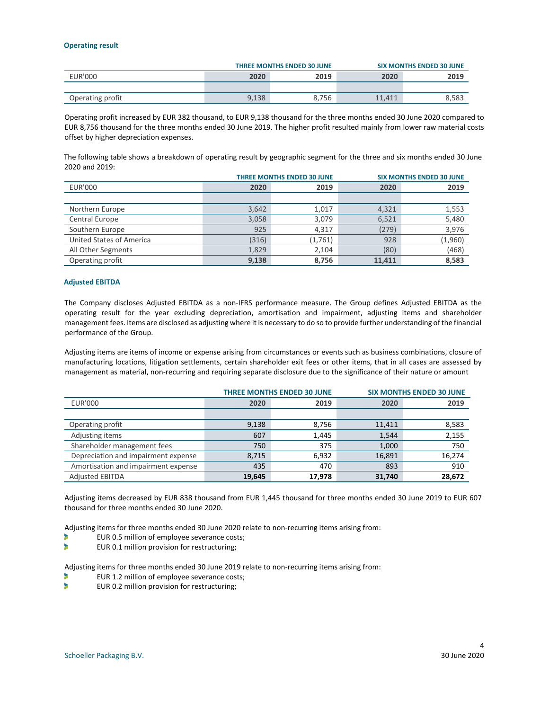#### **Operating result**

|                  |       | <b>THREE MONTHS ENDED 30 JUNE</b> |        | <b>SIX MONTHS ENDED 30 JUNE</b> |
|------------------|-------|-----------------------------------|--------|---------------------------------|
| <b>EUR'000</b>   | 2020  | 2019                              | 2020   | 2019                            |
|                  |       |                                   |        |                                 |
| Operating profit | 9,138 | 8.756                             | 11.411 | 8.583                           |

Operating profit increased by EUR 382 thousand, to EUR 9,138 thousand for the three months ended 30 June 2020 compared to EUR 8,756 thousand for the three months ended 30 June 2019. The higher profit resulted mainly from lower raw material costs offset by higher depreciation expenses.

The following table shows a breakdown of operating result by geographic segment for the three and six months ended 30 June 2020 and 2019:

|                          |       | <b>THREE MONTHS ENDED 30 JUNE</b> |        | <b>SIX MONTHS ENDED 30 JUNE</b> |
|--------------------------|-------|-----------------------------------|--------|---------------------------------|
| <b>EUR'000</b>           | 2020  | 2019                              | 2020   | 2019                            |
|                          |       |                                   |        |                                 |
| Northern Europe          | 3,642 | 1,017                             | 4,321  | 1,553                           |
| Central Europe           | 3,058 | 3,079                             | 6,521  | 5,480                           |
| Southern Europe          | 925   | 4.317                             | (279)  | 3,976                           |
| United States of America | (316) | (1,761)                           | 928    | (1,960)                         |
| All Other Segments       | 1,829 | 2,104                             | (80)   | (468)                           |
| Operating profit         | 9,138 | 8,756                             | 11.411 | 8,583                           |

#### **Adjusted EBITDA**

The Company discloses Adjusted EBITDA as a non-IFRS performance measure. The Group defines Adjusted EBITDA as the operating result for the year excluding depreciation, amortisation and impairment, adjusting items and shareholder management fees. Items are disclosed as adjusting where it is necessary to do so to provide further understanding of the financial performance of the Group.

Adjusting items are items of income or expense arising from circumstances or events such as business combinations, closure of manufacturing locations, litigation settlements, certain shareholder exit fees or other items, that in all cases are assessed by management as material, non-recurring and requiring separate disclosure due to the significance of their nature or amount

|                                     |        | <b>THREE MONTHS ENDED 30 JUNE</b> |        | <b>SIX MONTHS ENDED 30 JUNE</b> |
|-------------------------------------|--------|-----------------------------------|--------|---------------------------------|
| <b>EUR'000</b>                      | 2020   | 2019                              | 2020   | 2019                            |
|                                     |        |                                   |        |                                 |
| Operating profit                    | 9,138  | 8,756                             | 11,411 | 8,583                           |
| Adjusting items                     | 607    | 1,445                             | 1,544  | 2,155                           |
| Shareholder management fees         | 750    | 375                               | 1,000  | 750                             |
| Depreciation and impairment expense | 8,715  | 6,932                             | 16,891 | 16,274                          |
| Amortisation and impairment expense | 435    | 470                               | 893    | 910                             |
| <b>Adjusted EBITDA</b>              | 19,645 | 17,978                            | 31,740 | 28,672                          |

Adjusting items decreased by EUR 838 thousand from EUR 1,445 thousand for three months ended 30 June 2019 to EUR 607 thousand for three months ended 30 June 2020.

Adjusting items for three months ended 30 June 2020 relate to non-recurring items arising from:

- b EUR 0.5 million of employee severance costs;
- b EUR 0.1 million provision for restructuring;

Adjusting items for three months ended 30 June 2019 relate to non-recurring items arising from:

- EUR 1.2 million of employee severance costs;
- EUR 0.2 million provision for restructuring;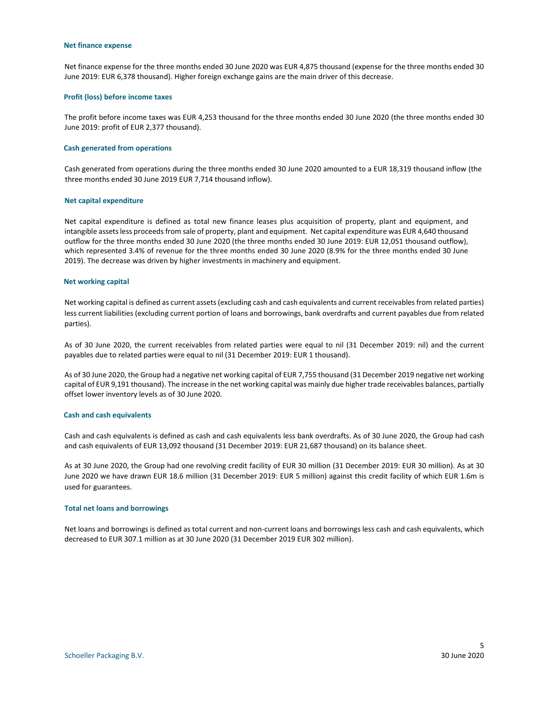#### **Net finance expense**

Net finance expense for the three months ended 30 June 2020 was EUR 4,875 thousand (expense for the three months ended 30 June 2019: EUR 6,378 thousand). Higher foreign exchange gains are the main driver of this decrease.

#### **Profit (loss) before income taxes**

The profit before income taxes was EUR 4,253 thousand for the three months ended 30 June 2020 (the three months ended 30 June 2019: profit of EUR 2,377 thousand).

#### **Cash generated from operations**

Cash generated from operations during the three months ended 30 June 2020 amounted to a EUR 18,319 thousand inflow (the three months ended 30 June 2019 EUR 7,714 thousand inflow).

#### **Net capital expenditure**

Net capital expenditure is defined as total new finance leases plus acquisition of property, plant and equipment, and intangible assets less proceeds from sale of property, plant and equipment. Net capital expenditure was EUR 4,640 thousand outflow for the three months ended 30 June 2020 (the three months ended 30 June 2019: EUR 12,051 thousand outflow), which represented 3.4% of revenue for the three months ended 30 June 2020 (8.9% for the three months ended 30 June 2019). The decrease was driven by higher investments in machinery and equipment.

#### **Net working capital**

Net working capital is defined as current assets (excluding cash and cash equivalents and current receivables from related parties) less current liabilities (excluding current portion of loans and borrowings, bank overdrafts and current payables due from related parties).

As of 30 June 2020, the current receivables from related parties were equal to nil (31 December 2019: nil) and the current payables due to related parties were equal to nil (31 December 2019: EUR 1 thousand).

As of 30 June 2020, the Group had a negative net working capital of EUR 7,755 thousand (31 December 2019 negative net working capital of EUR 9,191 thousand). The increase in the net working capital was mainly due higher trade receivables balances, partially offset lower inventory levels as of 30 June 2020.

#### **Cash and cash equivalents**

Cash and cash equivalents is defined as cash and cash equivalents less bank overdrafts. As of 30 June 2020, the Group had cash and cash equivalents of EUR 13,092 thousand (31 December 2019: EUR 21,687 thousand) on its balance sheet.

As at 30 June 2020, the Group had one revolving credit facility of EUR 30 million (31 December 2019: EUR 30 million). As at 30 June 2020 we have drawn EUR 18.6 million (31 December 2019: EUR 5 million) against this credit facility of which EUR 1.6m is used for guarantees.

#### **Total net loans and borrowings**

Net loans and borrowings is defined as total current and non-current loans and borrowings less cash and cash equivalents, which decreased to EUR 307.1 million as at 30 June 2020 (31 December 2019 EUR 302 million).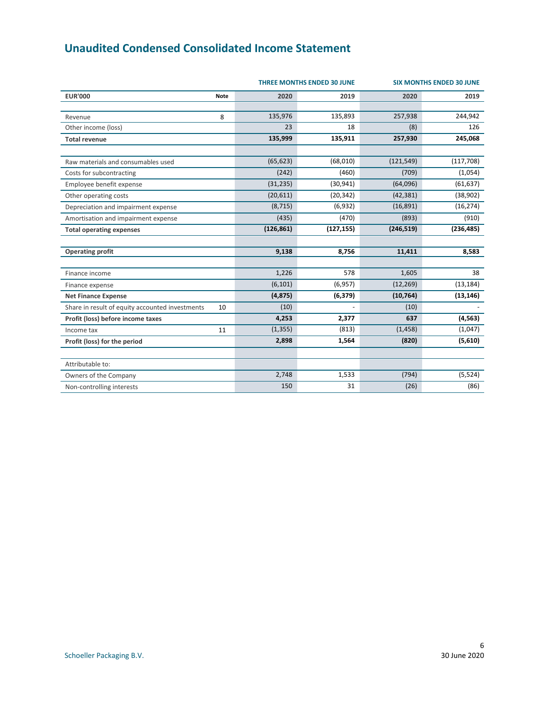# <span id="page-6-0"></span>**Unaudited Condensed Consolidated Income Statement**

|                                                 | <b>SIX MONTHS ENDED 30 JUNE</b> |            |            |            |            |
|-------------------------------------------------|---------------------------------|------------|------------|------------|------------|
| <b>EUR'000</b>                                  | <b>Note</b>                     | 2020       | 2019       | 2020       | 2019       |
| Revenue                                         | 8                               | 135,976    | 135,893    | 257,938    | 244,942    |
| Other income (loss)                             |                                 | 23         | 18         | (8)        | 126        |
| <b>Total revenue</b>                            |                                 | 135,999    | 135,911    | 257,930    | 245,068    |
|                                                 |                                 |            |            |            |            |
| Raw materials and consumables used              |                                 | (65, 623)  | (68,010)   | (121, 549) | (117, 708) |
| Costs for subcontracting                        |                                 | (242)      | (460)      | (709)      | (1,054)    |
| Employee benefit expense                        |                                 | (31, 235)  | (30, 941)  | (64,096)   | (61, 637)  |
| Other operating costs                           |                                 | (20,611)   | (20, 342)  | (42, 381)  | (38,902)   |
| Depreciation and impairment expense             |                                 | (8, 715)   | (6,932)    | (16, 891)  | (16, 274)  |
| Amortisation and impairment expense             |                                 | (435)      | (470)      | (893)      | (910)      |
| <b>Total operating expenses</b>                 |                                 | (126, 861) | (127, 155) | (246, 519) | (236, 485) |
|                                                 |                                 |            |            |            |            |
| <b>Operating profit</b>                         |                                 | 9,138      | 8,756      | 11,411     | 8,583      |
|                                                 |                                 |            |            |            |            |
| Finance income                                  |                                 | 1,226      | 578        | 1,605      | 38         |
| Finance expense                                 |                                 | (6, 101)   | (6,957)    | (12, 269)  | (13, 184)  |
| <b>Net Finance Expense</b>                      |                                 | (4, 875)   | (6, 379)   | (10, 764)  | (13, 146)  |
| Share in result of equity accounted investments | 10                              | (10)       |            | (10)       |            |
| Profit (loss) before income taxes               |                                 | 4,253      | 2,377      | 637        | (4, 563)   |
| Income tax                                      | 11                              | (1, 355)   | (813)      | (1, 458)   | (1,047)    |
| Profit (loss) for the period                    |                                 | 2,898      | 1,564      | (820)      | (5,610)    |
|                                                 |                                 |            |            |            |            |
| Attributable to:                                |                                 |            |            |            |            |
| Owners of the Company                           |                                 | 2,748      | 1,533      | (794)      | (5, 524)   |
| Non-controlling interests                       |                                 | 150        | 31         | (26)       | (86)       |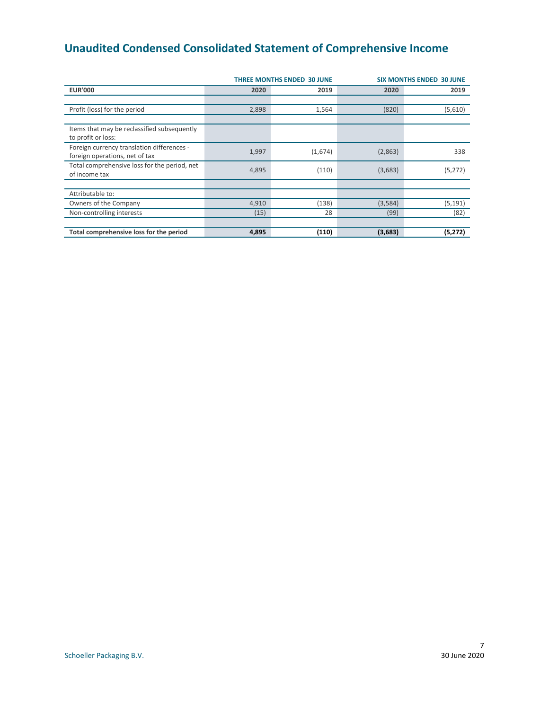# <span id="page-7-0"></span>**Unaudited Condensed Consolidated Statement of Comprehensive Income**

|                                                                              |       | <b>THREE MONTHS ENDED 30 JUNE</b> | <b>SIX MONTHS ENDED 30 JUNE</b> |          |  |
|------------------------------------------------------------------------------|-------|-----------------------------------|---------------------------------|----------|--|
| <b>EUR'000</b>                                                               | 2020  | 2019                              | 2020                            | 2019     |  |
|                                                                              |       |                                   |                                 |          |  |
| Profit (loss) for the period                                                 | 2,898 | 1,564                             | (820)                           | (5,610)  |  |
|                                                                              |       |                                   |                                 |          |  |
| Items that may be reclassified subsequently<br>to profit or loss:            |       |                                   |                                 |          |  |
| Foreign currency translation differences -<br>foreign operations, net of tax | 1,997 | (1,674)                           | (2,863)                         | 338      |  |
| Total comprehensive loss for the period, net<br>of income tax                | 4,895 | (110)                             | (3,683)                         | (5, 272) |  |
|                                                                              |       |                                   |                                 |          |  |
| Attributable to:                                                             |       |                                   |                                 |          |  |
| Owners of the Company                                                        | 4,910 | (138)                             | (3,584)                         | (5, 191) |  |
| Non-controlling interests                                                    | (15)  | 28                                | (99)                            | (82)     |  |
|                                                                              |       |                                   |                                 |          |  |
| Total comprehensive loss for the period                                      | 4,895 | (110)                             | (3,683)                         | (5, 272) |  |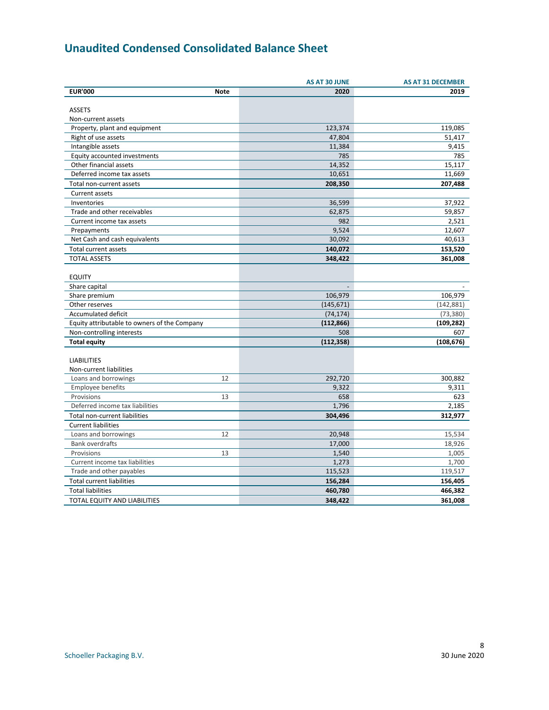# <span id="page-8-0"></span>**Unaudited Condensed Consolidated Balance Sheet**

|                                              |             | <b>AS AT 30 JUNE</b> | <b>AS AT 31 DECEMBER</b> |
|----------------------------------------------|-------------|----------------------|--------------------------|
| <b>EUR'000</b>                               | <b>Note</b> | 2020                 | 2019                     |
|                                              |             |                      |                          |
| <b>ASSETS</b>                                |             |                      |                          |
| Non-current assets                           |             |                      |                          |
| Property, plant and equipment                |             | 123,374              | 119,085                  |
| Right of use assets                          |             | 47,804               | 51,417                   |
| Intangible assets                            |             | 11,384               | 9,415                    |
| Equity accounted investments                 |             | 785                  | 785                      |
| Other financial assets                       |             | 14,352               | 15,117                   |
| Deferred income tax assets                   |             | 10,651               | 11,669                   |
| Total non-current assets                     |             | 208,350              | 207,488                  |
| Current assets                               |             |                      |                          |
| Inventories                                  |             | 36,599               | 37,922                   |
| Trade and other receivables                  |             | 62,875               | 59,857                   |
| Current income tax assets                    |             | 982                  | 2,521                    |
| Prepayments                                  |             | 9,524                | 12,607                   |
| Net Cash and cash equivalents                |             | 30,092               | 40,613                   |
| Total current assets                         |             | 140,072              | 153,520                  |
| <b>TOTAL ASSETS</b>                          |             | 348,422              | 361,008                  |
|                                              |             |                      |                          |
| <b>EQUITY</b>                                |             |                      |                          |
| Share capital                                |             |                      |                          |
| Share premium                                |             | 106,979              | 106,979                  |
| Other reserves                               |             | (145, 671)           | (142, 881)               |
| Accumulated deficit                          |             | (74, 174)            | (73, 380)                |
| Equity attributable to owners of the Company |             | (112, 866)           | (109, 282)               |
| Non-controlling interests                    |             | 508                  | 607                      |
| <b>Total equity</b>                          |             | (112, 358)           | (108, 676)               |
|                                              |             |                      |                          |
| <b>LIABILITIES</b>                           |             |                      |                          |
| Non-current liabilities                      |             |                      |                          |
| Loans and borrowings                         | 12          | 292,720              | 300,882                  |
| <b>Employee benefits</b>                     |             | 9,322                | 9,311                    |
| Provisions                                   | 13          | 658                  | 623                      |
| Deferred income tax liabilities              |             | 1,796                | 2,185                    |
| Total non-current liabilities                |             | 304,496              | 312,977                  |
|                                              |             |                      |                          |
| <b>Current liabilities</b>                   |             |                      |                          |
| Loans and borrowings                         | 12          | 20,948               | 15,534                   |
| <b>Bank overdrafts</b>                       |             | 17,000               | 18,926                   |
| Provisions                                   | 13          | 1,540                | 1,005                    |
| Current income tax liabilities               |             | 1,273                | 1,700                    |
| Trade and other payables                     |             | 115,523              | 119,517                  |
| <b>Total current liabilities</b>             |             | 156,284              | 156,405                  |
| <b>Total liabilities</b>                     |             | 460,780              | 466,382                  |
| TOTAL EQUITY AND LIABILITIES                 |             | 348,422              | 361,008                  |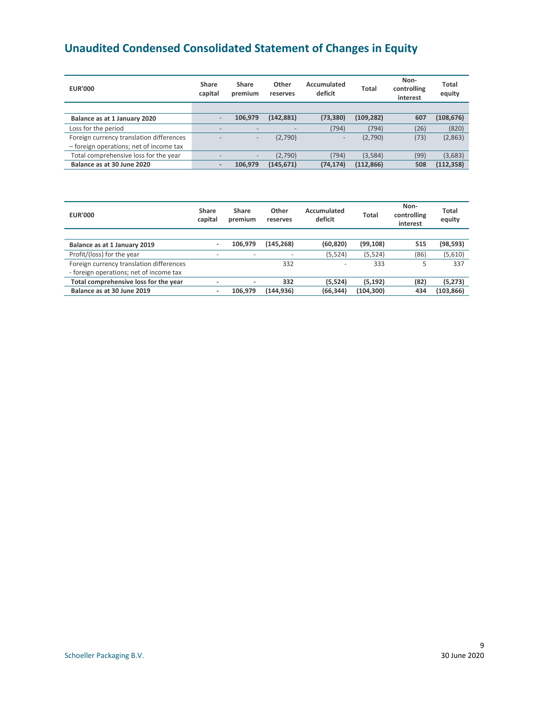# <span id="page-9-0"></span>**Unaudited Condensed Consolidated Statement of Changes in Equity**

| <b>EUR'000</b>                           | Share<br>capital         | Share<br>premium         | Other<br>reserves | Accumulated<br>deficit   | Total      | Non-<br>controlling<br>interest | <b>Total</b><br>equity |
|------------------------------------------|--------------------------|--------------------------|-------------------|--------------------------|------------|---------------------------------|------------------------|
|                                          |                          |                          |                   |                          |            |                                 |                        |
| Balance as at 1 January 2020             |                          | 106.979                  | (142, 881)        | (73, 380)                | (109, 282) | 607                             | (108, 676)             |
| Loss for the period                      | -                        |                          |                   | (794)                    | (794)      | (26)                            | (820)                  |
| Foreign currency translation differences |                          | $\overline{\phantom{0}}$ | (2,790)           | $\overline{\phantom{a}}$ | (2,790)    | (73)                            | (2,863)                |
| - foreign operations; net of income tax  |                          |                          |                   |                          |            |                                 |                        |
| Total comprehensive loss for the year    |                          | $\overline{\phantom{a}}$ | (2,790)           | (794)                    | (3,584)    | (99)                            | (3,683)                |
| Balance as at 30 June 2020               | $\overline{\phantom{0}}$ | 106.979                  | (145, 671)        | (74, 174)                | (112, 866) | 508                             | (112, 358)             |

| <b>EUR'000</b>                                                                      | Share<br>capital         | Share<br>premium | <b>Other</b><br>reserves | Accumulated<br>deficit | Total      | Non-<br>controlling<br>interest | Total<br>equity |
|-------------------------------------------------------------------------------------|--------------------------|------------------|--------------------------|------------------------|------------|---------------------------------|-----------------|
|                                                                                     |                          |                  |                          |                        |            |                                 |                 |
| Balance as at 1 January 2019                                                        | ۰.                       | 106.979          | (145, 268)               | (60, 820)              | (99, 108)  | 515                             | (98,593)        |
| Profit/(loss) for the year                                                          | $\overline{\phantom{0}}$ | -                | $\overline{\phantom{m}}$ | (5, 524)               | (5,524)    | (86)                            | (5,610)         |
| Foreign currency translation differences<br>- foreign operations; net of income tax |                          |                  | 332                      |                        | 333        |                                 | 337             |
| Total comprehensive loss for the year                                               | ٠                        | ٠                | 332                      | (5, 524)               | (5, 192)   | (82)                            | (5,273)         |
| Balance as at 30 June 2019                                                          | ٠                        | 106.979          | (144, 936)               | (66, 344)              | (104, 300) | 434                             | (103, 866)      |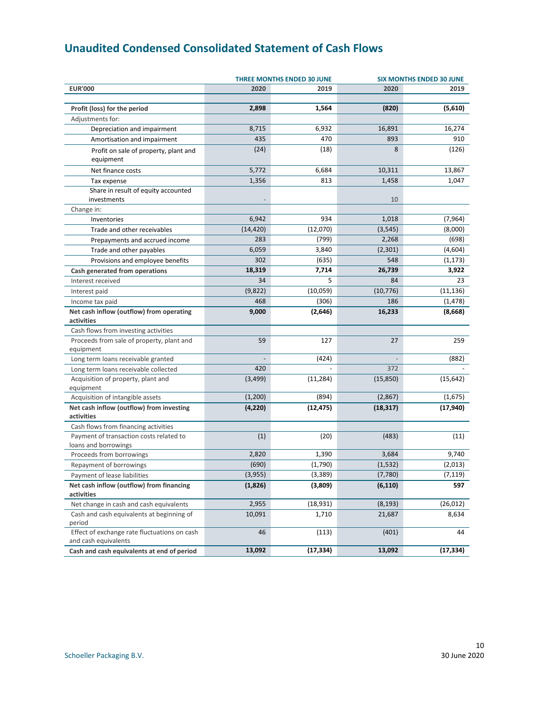# <span id="page-10-0"></span>**Unaudited Condensed Consolidated Statement of Cash Flows**

|                                                                      |           | <b>THREE MONTHS ENDED 30 JUNE</b> | <b>SIX MONTHS ENDED 30 JUNE</b> |           |  |
|----------------------------------------------------------------------|-----------|-----------------------------------|---------------------------------|-----------|--|
| <b>EUR'000</b>                                                       | 2020      | 2019                              | 2020                            | 2019      |  |
| Profit (loss) for the period                                         | 2,898     | 1,564                             | (820)                           | (5,610)   |  |
| Adjustments for:                                                     |           |                                   |                                 |           |  |
| Depreciation and impairment                                          | 8,715     | 6,932                             | 16,891                          | 16,274    |  |
| Amortisation and impairment                                          | 435       | 470                               | 893                             | 910       |  |
| Profit on sale of property, plant and<br>equipment                   | (24)      | (18)                              | 8                               | (126)     |  |
| Net finance costs                                                    | 5,772     | 6,684                             | 10,311                          | 13,867    |  |
| Tax expense                                                          | 1,356     | 813                               | 1,458                           | 1,047     |  |
| Share in result of equity accounted                                  |           |                                   |                                 |           |  |
| investments                                                          |           |                                   | 10                              |           |  |
| Change in:                                                           |           |                                   |                                 |           |  |
| Inventories                                                          | 6,942     | 934                               | 1,018                           | (7,964)   |  |
| Trade and other receivables                                          | (14, 420) | (12,070)                          | (3, 545)                        | (8,000)   |  |
| Prepayments and accrued income                                       | 283       | (799)                             | 2,268                           | (698)     |  |
| Trade and other payables                                             | 6,059     | 3,840                             | (2, 301)                        | (4,604)   |  |
| Provisions and employee benefits                                     | 302       | (635)                             | 548                             | (1, 173)  |  |
| Cash generated from operations                                       | 18,319    | 7,714                             | 26,739                          | 3,922     |  |
| Interest received                                                    | 34        | 5                                 | 84                              | 23        |  |
| Interest paid                                                        | (9,822)   | (10,059)                          | (10, 776)                       | (11, 136) |  |
| Income tax paid                                                      | 468       | (306)                             | 186                             | (1, 478)  |  |
| Net cash inflow (outflow) from operating                             | 9,000     | (2,646)                           | 16,233                          | (8,668)   |  |
| activities                                                           |           |                                   |                                 |           |  |
| Cash flows from investing activities                                 |           |                                   |                                 |           |  |
| Proceeds from sale of property, plant and                            | 59        | 127                               | 27                              | 259       |  |
| equipment                                                            |           |                                   |                                 |           |  |
| Long term loans receivable granted                                   |           | (424)                             |                                 | (882)     |  |
| Long term loans receivable collected                                 | 420       |                                   | 372                             |           |  |
| Acquisition of property, plant and<br>equipment                      | (3, 499)  | (11, 284)                         | (15, 850)                       | (15, 642) |  |
| Acquisition of intangible assets                                     | (1,200)   | (894)                             | (2,867)                         | (1,675)   |  |
| Net cash inflow (outflow) from investing<br>activities               | (4, 220)  | (12, 475)                         | (18, 317)                       | (17, 940) |  |
| Cash flows from financing activities                                 |           |                                   |                                 |           |  |
| Payment of transaction costs related to                              | (1)       | (20)                              | (483)                           | (11)      |  |
| loans and borrowings                                                 |           |                                   |                                 |           |  |
| Proceeds from borrowings                                             | 2,820     | 1,390                             | 3,684                           | 9,740     |  |
| Repayment of borrowings                                              | (690)     | (1,790)                           | (1, 532)                        | (2,013)   |  |
| Payment of lease liabilities                                         | (3,955)   | (3, 389)                          | (7,780)                         | (7, 119)  |  |
| Net cash inflow (outflow) from financing<br>activities               | (1,826)   | (3,809)                           | (6, 110)                        | 597       |  |
| Net change in cash and cash equivalents                              | 2,955     | (18, 931)                         | (8, 193)                        | (26, 012) |  |
| Cash and cash equivalents at beginning of<br>period                  | 10,091    | 1,710                             | 21,687                          | 8,634     |  |
| Effect of exchange rate fluctuations on cash<br>and cash equivalents | 46        | (113)                             | (401)                           | 44        |  |
| Cash and cash equivalents at end of period                           | 13,092    | (17, 334)                         | 13,092                          | (17, 334) |  |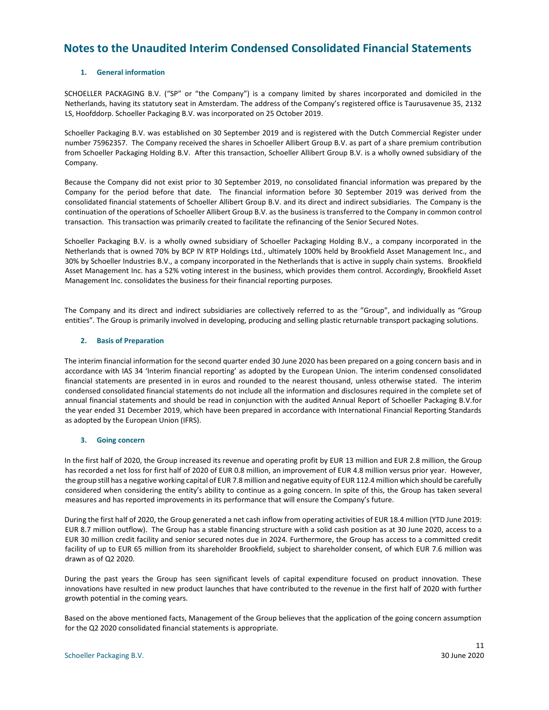### <span id="page-11-0"></span>**Notes to the Unaudited Interim Condensed Consolidated Financial Statements**

#### **1. General information**

SCHOELLER PACKAGING B.V. ("SP" or "the Company") is a company limited by shares incorporated and domiciled in the Netherlands, having its statutory seat in Amsterdam. The address of the Company's registered office is Taurusavenue 35, 2132 LS, Hoofddorp. Schoeller Packaging B.V. was incorporated on 25 October 2019.

Schoeller Packaging B.V. was established on 30 September 2019 and is registered with the Dutch Commercial Register under number 75962357. The Company received the shares in Schoeller Allibert Group B.V. as part of a share premium contribution from Schoeller Packaging Holding B.V. After this transaction, Schoeller Allibert Group B.V. is a wholly owned subsidiary of the Company.

Because the Company did not exist prior to 30 September 2019, no consolidated financial information was prepared by the Company for the period before that date. The financial information before 30 September 2019 was derived from the consolidated financial statements of Schoeller Allibert Group B.V. and its direct and indirect subsidiaries. The Company is the continuation of the operations of Schoeller Allibert Group B.V. as the business is transferred to the Company in common control transaction. This transaction was primarily created to facilitate the refinancing of the Senior Secured Notes.

Schoeller Packaging B.V. is a wholly owned subsidiary of Schoeller Packaging Holding B.V., a company incorporated in the Netherlands that is owned 70% by BCP IV RTP Holdings Ltd., ultimately 100% held by Brookfield Asset Management Inc., and 30% by Schoeller Industries B.V., a company incorporated in the Netherlands that is active in supply chain systems. Brookfield Asset Management Inc. has a 52% voting interest in the business, which provides them control. Accordingly, Brookfield Asset Management Inc. consolidates the business for their financial reporting purposes.

The Company and its direct and indirect subsidiaries are collectively referred to as the "Group", and individually as "Group entities". The Group is primarily involved in developing, producing and selling plastic returnable transport packaging solutions.

#### **2. Basis of Preparation**

The interim financial information for the second quarter ended 30 June 2020 has been prepared on a going concern basis and in accordance with IAS 34 'Interim financial reporting' as adopted by the European Union. The interim condensed consolidated financial statements are presented in in euros and rounded to the nearest thousand, unless otherwise stated. The interim condensed consolidated financial statements do not include all the information and disclosures required in the complete set of annual financial statements and should be read in conjunction with the audited Annual Report of Schoeller Packaging B.V.for the year ended 31 December 2019, which have been prepared in accordance with International Financial Reporting Standards as adopted by the European Union (IFRS).

#### **3. Going concern**

In the first half of 2020, the Group increased its revenue and operating profit by EUR 13 million and EUR 2.8 million, the Group has recorded a net loss for first half of 2020 of EUR 0.8 million, an improvement of EUR 4.8 million versus prior year. However, the group still has a negative working capital of EUR 7.8 million and negative equity of EUR 112.4 million which should be carefully considered when considering the entity's ability to continue as a going concern. In spite of this, the Group has taken several measures and has reported improvements in its performance that will ensure the Company's future.

During the first half of 2020, the Group generated a net cash inflow from operating activities of EUR 18.4 million (YTD June 2019: EUR 8.7 million outflow). The Group has a stable financing structure with a solid cash position as at 30 June 2020, access to a EUR 30 million credit facility and senior secured notes due in 2024. Furthermore, the Group has access to a committed credit facility of up to EUR 65 million from its shareholder Brookfield, subject to shareholder consent, of which EUR 7.6 million was drawn as of Q2 2020.

During the past years the Group has seen significant levels of capital expenditure focused on product innovation. These innovations have resulted in new product launches that have contributed to the revenue in the first half of 2020 with further growth potential in the coming years.

Based on the above mentioned facts, Management of the Group believes that the application of the going concern assumption for the Q2 2020 consolidated financial statements is appropriate.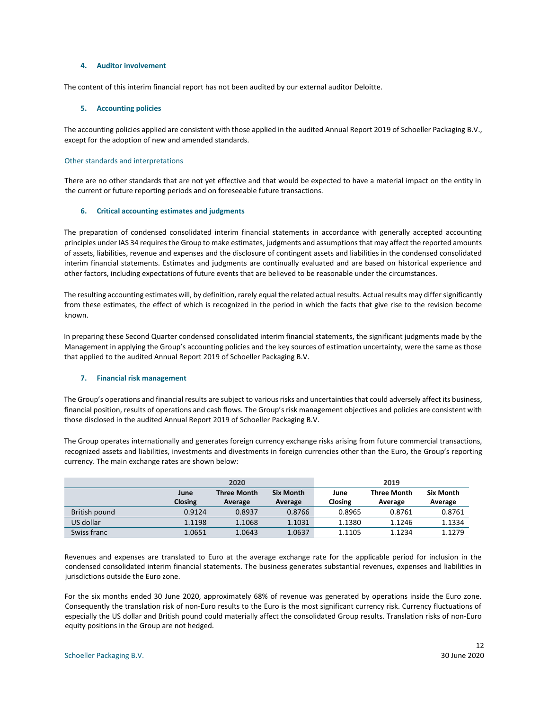#### **4. Auditor involvement**

The content of this interim financial report has not been audited by our external auditor Deloitte.

#### **5. Accounting policies**

The accounting policies applied are consistent with those applied in the audited Annual Report 2019 of Schoeller Packaging B.V., except for the adoption of new and amended standards.

#### Other standards and interpretations

There are no other standards that are not yet effective and that would be expected to have a material impact on the entity in the current or future reporting periods and on foreseeable future transactions.

#### **6. Critical accounting estimates and judgments**

The preparation of condensed consolidated interim financial statements in accordance with generally accepted accounting principles under IAS 34 requires the Group to make estimates, judgments and assumptions that may affect the reported amounts of assets, liabilities, revenue and expenses and the disclosure of contingent assets and liabilities in the condensed consolidated interim financial statements. Estimates and judgments are continually evaluated and are based on historical experience and other factors, including expectations of future events that are believed to be reasonable under the circumstances.

The resulting accounting estimates will, by definition, rarely equal the related actual results. Actual results may differ significantly from these estimates, the effect of which is recognized in the period in which the facts that give rise to the revision become known.

In preparing these Second Quarter condensed consolidated interim financial statements, the significant judgments made by the Management in applying the Group's accounting policies and the key sources of estimation uncertainty, were the same as those that applied to the audited Annual Report 2019 of Schoeller Packaging B.V.

#### **7. Financial risk management**

The Group's operations and financial results are subject to various risks and uncertainties that could adversely affect its business, financial position, results of operations and cash flows. The Group's risk management objectives and policies are consistent with those disclosed in the audited Annual Report 2019 of Schoeller Packaging B.V.

The Group operates internationally and generates foreign currency exchange risks arising from future commercial transactions, recognized assets and liabilities, investments and divestments in foreign currencies other than the Euro, the Group's reporting currency. The main exchange rates are shown below:

|               |                | 2020               |                  |         | 2019               |                  |
|---------------|----------------|--------------------|------------------|---------|--------------------|------------------|
|               | June           | <b>Three Month</b> | <b>Six Month</b> | June    | <b>Three Month</b> | <b>Six Month</b> |
|               | <b>Closing</b> | Average            | Average          | Closing | Average            | Average          |
| British pound | 0.9124         | 0.8937             | 0.8766           | 0.8965  | 0.8761             | 0.8761           |
| US dollar     | 1.1198         | 1.1068             | 1.1031           | 1.1380  | 1.1246             | 1.1334           |
| Swiss franc   | 1.0651         | 1.0643             | 1.0637           | 1.1105  | 1.1234             | 1.1279           |

Revenues and expenses are translated to Euro at the average exchange rate for the applicable period for inclusion in the condensed consolidated interim financial statements. The business generates substantial revenues, expenses and liabilities in jurisdictions outside the Euro zone.

For the six months ended 30 June 2020, approximately 68% of revenue was generated by operations inside the Euro zone. Consequently the translation risk of non-Euro results to the Euro is the most significant currency risk. Currency fluctuations of especially the US dollar and British pound could materially affect the consolidated Group results. Translation risks of non-Euro equity positions in the Group are not hedged.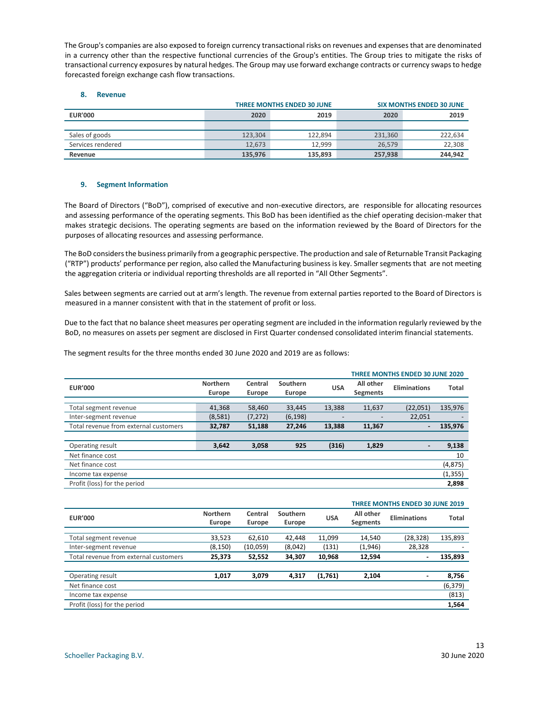The Group's companies are also exposed to foreign currency transactional risks on revenues and expenses that are denominated in a currency other than the respective functional currencies of the Group's entities. The Group tries to mitigate the risks of transactional currency exposures by natural hedges. The Group may use forward exchange contracts or currency swaps to hedge forecasted foreign exchange cash flow transactions.

#### **8. Revenue**

|                   |         | <b>SIX MONTHS ENDED 30 JUNE</b> |         |         |
|-------------------|---------|---------------------------------|---------|---------|
| <b>EUR'000</b>    | 2020    | 2019                            | 2020    | 2019    |
|                   |         |                                 |         |         |
| Sales of goods    | 123.304 | 122.894                         | 231.360 | 222,634 |
| Services rendered | 12.673  | 12.999                          | 26.579  | 22,308  |
| Revenue           | 135,976 | 135.893                         | 257,938 | 244.942 |

#### **9. Segment Information**

The Board of Directors ("BoD"), comprised of executive and non-executive directors, are responsible for allocating resources and assessing performance of the operating segments. This BoD has been identified as the chief operating decision-maker that makes strategic decisions. The operating segments are based on the information reviewed by the Board of Directors for the purposes of allocating resources and assessing performance.

The BoD considers the business primarily from a geographic perspective. The production and sale of Returnable Transit Packaging ("RTP") products' performance per region, also called the Manufacturing business is key. Smaller segments that are not meeting the aggregation criteria or individual reporting thresholds are all reported in "All Other Segments".

Sales between segments are carried out at arm's length. The revenue from external parties reported to the Board of Directors is measured in a manner consistent with that in the statement of profit or loss.

Due to the fact that no balance sheet measures per operating segment are included in the information regularly reviewed by the BoD, no measures on assets per segment are disclosed in First Quarter condensed consolidated interim financial statements.

The segment results for the three months ended 30 June 2020 and 2019 are as follows:

|                                       |                 |          |          |            | <b>THREE MONTHS ENDED 30 JUNE 2020</b> |                     |          |  |
|---------------------------------------|-----------------|----------|----------|------------|----------------------------------------|---------------------|----------|--|
| <b>EUR'000</b>                        | <b>Northern</b> | Central  | Southern | <b>USA</b> | All other                              | <b>Eliminations</b> | Total    |  |
|                                       | Europe          | Europe   | Europe   |            | <b>Segments</b>                        |                     |          |  |
| Total segment revenue                 | 41,368          | 58,460   | 33,445   | 13,388     | 11,637                                 | (22,051)            | 135,976  |  |
| Inter-segment revenue                 | (8,581)         | (7, 272) | (6, 198) |            |                                        | 22,051              |          |  |
| Total revenue from external customers | 32,787          | 51,188   | 27,246   | 13,388     | 11,367                                 | $\blacksquare$      | 135,976  |  |
|                                       |                 |          |          |            |                                        |                     |          |  |
| Operating result                      | 3,642           | 3,058    | 925      | (316)      | 1,829                                  |                     | 9,138    |  |
| Net finance cost                      |                 |          |          |            |                                        |                     | 10       |  |
| Net finance cost                      |                 |          |          |            |                                        |                     | (4, 875) |  |
| Income tax expense                    |                 |          |          |            |                                        |                     | (1, 355) |  |
| Profit (loss) for the period          |                 |          |          |            |                                        |                     | 2,898    |  |

|                                       |                 |          |          |            | <b>THREE MONTHS ENDED 30 JUNE 2019</b> |                     |              |  |  |
|---------------------------------------|-----------------|----------|----------|------------|----------------------------------------|---------------------|--------------|--|--|
| <b>EUR'000</b>                        | <b>Northern</b> | Central  | Southern | <b>USA</b> | All other                              | <b>Eliminations</b> | <b>Total</b> |  |  |
|                                       | Europe          | Europe   | Europe   |            | <b>Segments</b>                        |                     |              |  |  |
|                                       |                 |          |          |            |                                        |                     |              |  |  |
| Total segment revenue                 | 33,523          | 62,610   | 42,448   | 11,099     | 14,540                                 | (28, 328)           | 135,893      |  |  |
| Inter-segment revenue                 | (8, 150)        | (10,059) | (8,042)  | (131)      | (1,946)                                | 28,328              |              |  |  |
| Total revenue from external customers | 25,373          | 52,552   | 34,307   | 10,968     | 12,594                                 | -                   | 135,893      |  |  |
|                                       |                 |          |          |            |                                        |                     |              |  |  |
| Operating result                      | 1.017           | 3,079    | 4,317    | (1,761)    | 2,104                                  | ۰.                  | 8,756        |  |  |
| Net finance cost                      |                 |          |          |            |                                        |                     | (6, 379)     |  |  |
| Income tax expense                    |                 |          |          |            |                                        |                     | (813)        |  |  |
| Profit (loss) for the period          |                 |          |          |            |                                        |                     | 1,564        |  |  |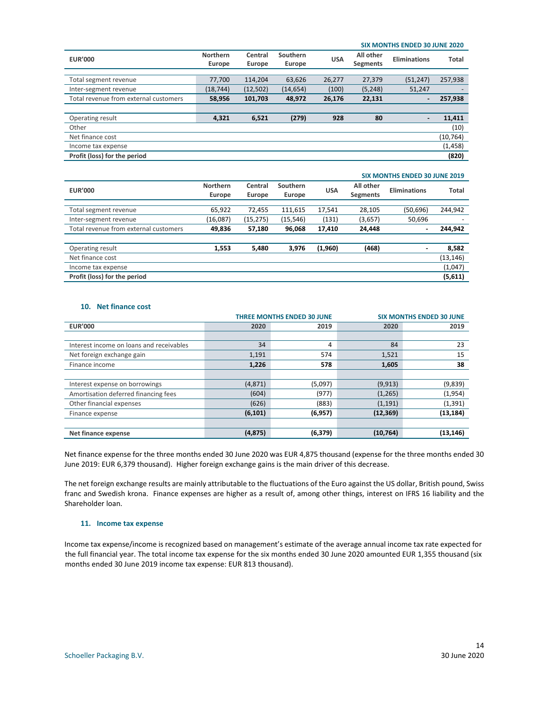|                                       | <b>SIX MONTHS ENDED 30 JUNE 2020</b> |          |           |            |                 |                          |              |
|---------------------------------------|--------------------------------------|----------|-----------|------------|-----------------|--------------------------|--------------|
|                                       | <b>Northern</b>                      | Central  | Southern  |            | All other       |                          |              |
| <b>EUR'000</b>                        | Europe                               | Europe   | Europe    | <b>USA</b> | <b>Segments</b> | <b>Eliminations</b>      | <b>Total</b> |
|                                       |                                      |          |           |            |                 |                          |              |
| Total segment revenue                 | 77,700                               | 114,204  | 63,626    | 26,277     | 27,379          | (51, 247)                | 257,938      |
| Inter-segment revenue                 | (18, 744)                            | (12,502) | (14, 654) | (100)      | (5, 248)        | 51,247                   |              |
| Total revenue from external customers | 58,956                               | 101,703  | 48,972    | 26,176     | 22,131          | $\overline{\phantom{0}}$ | 257,938      |
|                                       |                                      |          |           |            |                 |                          |              |
| Operating result                      | 4,321                                | 6,521    | (279)     | 928        | 80              | $\overline{\phantom{0}}$ | 11,411       |
| Other                                 |                                      |          |           |            |                 |                          | (10)         |
| Net finance cost                      |                                      |          |           |            |                 |                          | (10, 764)    |
| Income tax expense                    |                                      |          |           |            |                 |                          | (1, 458)     |
| Profit (loss) for the period          |                                      |          |           |            |                 |                          | (820)        |

|                                       | <b>SIX MONTHS ENDED 30 JUNE 2019</b> |           |           |            |                 |                     |           |
|---------------------------------------|--------------------------------------|-----------|-----------|------------|-----------------|---------------------|-----------|
| <b>EUR'000</b>                        | <b>Northern</b>                      | Central   | Southern  |            | All other       | <b>Eliminations</b> | Total     |
|                                       | Europe                               | Europe    | Europe    | <b>USA</b> | <b>Segments</b> |                     |           |
|                                       |                                      |           |           |            |                 |                     |           |
| Total segment revenue                 | 65,922                               | 72,455    | 111,615   | 17.541     | 28,105          | (50,696)            | 244,942   |
| Inter-segment revenue                 | (16,087)                             | (15, 275) | (15, 546) | (131)      | (3,657)         | 50,696              |           |
| Total revenue from external customers | 49,836                               | 57,180    | 96,068    | 17.410     | 24,448          | ۰.                  | 244,942   |
|                                       |                                      |           |           |            |                 |                     |           |
| Operating result                      | 1,553                                | 5,480     | 3,976     | (1,960)    | (468)           |                     | 8,582     |
| Net finance cost                      |                                      |           |           |            |                 |                     | (13, 146) |
| Income tax expense                    |                                      |           |           |            |                 |                     | (1,047)   |
| Profit (loss) for the period          |                                      |           |           |            |                 |                     | (5,611)   |

#### **10. Net finance cost**

|                                          |          | <b>THREE MONTHS ENDED 30 JUNE</b> |           | <b>SIX MONTHS ENDED 30 JUNE</b> |
|------------------------------------------|----------|-----------------------------------|-----------|---------------------------------|
| <b>EUR'000</b>                           | 2020     | 2019                              | 2020      | 2019                            |
|                                          |          |                                   |           |                                 |
| Interest income on loans and receivables | 34       | 4                                 | 84        | 23                              |
| Net foreign exchange gain                | 1,191    | 574                               | 1,521     | 15                              |
| Finance income                           | 1,226    | 578                               | 1,605     | 38                              |
|                                          |          |                                   |           |                                 |
| Interest expense on borrowings           | (4,871)  | (5,097)                           | (9, 913)  | (9,839)                         |
| Amortisation deferred financing fees     | (604)    | (977)                             | (1, 265)  | (1,954)                         |
| Other financial expenses                 | (626)    | (883)                             | (1, 191)  | (1, 391)                        |
| Finance expense                          | (6, 101) | (6,957)                           | (12, 369) | (13, 184)                       |
|                                          |          |                                   |           |                                 |
| Net finance expense                      | (4, 875) | (6, 379)                          | (10, 764) | (13, 146)                       |

Net finance expense for the three months ended 30 June 2020 was EUR 4,875 thousand (expense for the three months ended 30 June 2019: EUR 6,379 thousand). Higher foreign exchange gains is the main driver of this decrease.

The net foreign exchange results are mainly attributable to the fluctuations of the Euro against the US dollar, British pound, Swiss franc and Swedish krona. Finance expenses are higher as a result of, among other things, interest on IFRS 16 liability and the Shareholder loan.

#### **11. Income tax expense**

Income tax expense/income is recognized based on management's estimate of the average annual income tax rate expected for the full financial year. The total income tax expense for the six months ended 30 June 2020 amounted EUR 1,355 thousand (six months ended 30 June 2019 income tax expense: EUR 813 thousand).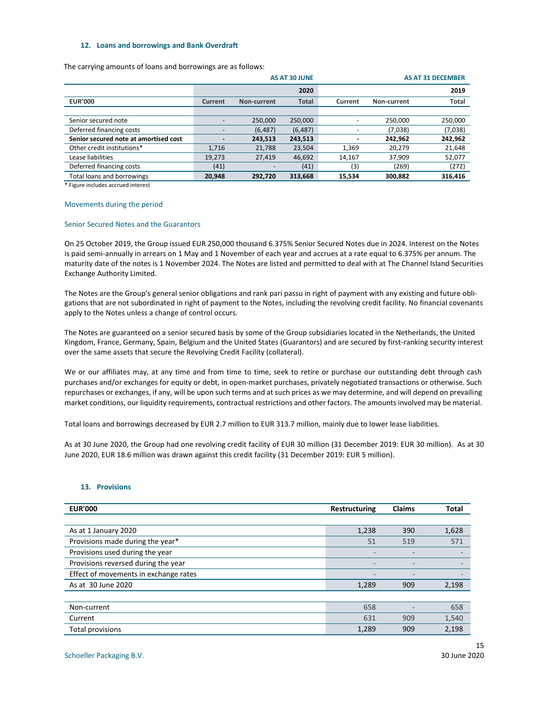#### **12. Loans and borrowings and Bank Overdraft**

The carrying amounts of loans and borrowings are as follows:

|                                       |         |             | <b>AS AT 30 JUNE</b> |                |             | <b>AS AT 31 DECEMBER</b> |
|---------------------------------------|---------|-------------|----------------------|----------------|-------------|--------------------------|
|                                       |         |             | 2020                 |                |             | 2019                     |
| <b>EUR'000</b>                        | Current | Non-current | <b>Total</b>         | Current        | Non-current | <b>Total</b>             |
|                                       |         |             |                      |                |             |                          |
| Senior secured note                   |         | 250.000     | 250,000              |                | 250,000     | 250,000                  |
| Deferred financing costs              |         | (6, 487)    | (6, 487)             |                | (7,038)     | (7,038)                  |
| Senior secured note at amortised cost |         | 243,513     | 243,513              | $\blacksquare$ | 242,962     | 242,962                  |
| Other credit institutions*            | 1,716   | 21,788      | 23,504               | 1,369          | 20,279      | 21,648                   |
| Lease liabilities                     | 19,273  | 27,419      | 46,692               | 14,167         | 37,909      | 52,077                   |
| Deferred financing costs              | (41)    |             | (41)                 | (3)            | (269)       | (272)                    |
| Total loans and borrowings            | 20,948  | 292,720     | 313,668              | 15,534         | 300,882     | 316,416                  |
|                                       |         |             |                      |                |             |                          |

\* Figure includes accrued interest

#### Movements during the period

#### Senior Secured Notes and the Guarantors

On 25 October 2019, the Group issued EUR 250,000 thousand 6.375% Senior Secured Notes due in 2024. Interest on the Notes is paid semi-annually in arrears on 1 May and 1 November of each year and accrues at a rate equal to 6.375% per annum. The maturity date of the notes is 1 November 2024. The Notes are listed and permitted to deal with at The Channel Island Securities Exchange Authority Limited.

The Notes are the Group's general senior obligations and rank pari passu in right of payment with any existing and future obligations that are not subordinated in right of payment to the Notes, including the revolving credit facility. No financial covenants apply to the Notes unless a change of control occurs.

The Notes are guaranteed on a senior secured basis by some of the Group subsidiaries located in the Netherlands, the United Kingdom, France, Germany, Spain, Belgium and the United States (Guarantors) and are secured by first-ranking security interest over the same assets that secure the Revolving Credit Facility (collateral).

We or our affiliates may, at any time and from time to time, seek to retire or purchase our outstanding debt through cash purchases and/or exchanges for equity or debt, in open-market purchases, privately negotiated transactions or otherwise. Such repurchases or exchanges, if any, will be upon such terms and at such prices as we may determine, and will depend on prevailing market conditions, our liquidity requirements, contractual restrictions and other factors. The amounts involved may be material.

Total loans and borrowings decreased by EUR 2.7 million to EUR 313.7 million, mainly due to lower lease liabilities.

As at 30 June 2020, the Group had one revolving credit facility of EUR 30 million (31 December 2019: EUR 30 million). As at 30 June 2020, EUR 18.6 million was drawn against this credit facility (31 December 2019: EUR 5 million).

#### **13. Provisions**

| <b>EUR'000</b>                        | Restructuring            | <b>Claims</b>            | <b>Total</b> |
|---------------------------------------|--------------------------|--------------------------|--------------|
|                                       |                          |                          |              |
| As at 1 January 2020                  | 1,238                    | 390                      | 1,628        |
| Provisions made during the year*      | 51                       | 519                      | 571          |
| Provisions used during the year       | $\overline{\phantom{0}}$ | $\overline{\phantom{0}}$ |              |
| Provisions reversed during the year   | $\qquad \qquad$          | $\qquad \qquad -$        |              |
| Effect of movements in exchange rates | -                        |                          |              |
| As at 30 June 2020                    | 1,289                    | 909                      | 2,198        |
|                                       |                          |                          |              |
| Non-current                           | 658                      |                          | 658          |
| Current                               | 631                      | 909                      | 1,540        |
| <b>Total provisions</b>               | 1,289                    | 909                      | 2,198        |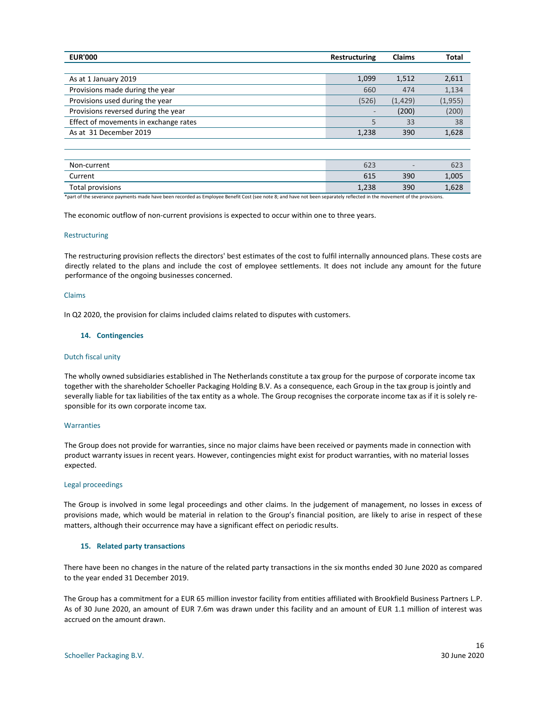| <b>EUR'000</b>                        | Restructuring | <b>Claims</b> | Total    |
|---------------------------------------|---------------|---------------|----------|
|                                       |               |               |          |
| As at 1 January 2019                  | 1,099         | 1,512         | 2,611    |
| Provisions made during the year       | 660           | 474           | 1,134    |
| Provisions used during the year       | (526)         | (1, 429)      | (1, 955) |
| Provisions reversed during the year   | -             | (200)         | (200)    |
| Effect of movements in exchange rates |               | 33            | 38       |
| As at 31 December 2019                | 1,238         | 390           | 1,628    |
|                                       |               |               |          |

| Non-current             | 623   | $\qquad \qquad$ | 623   |
|-------------------------|-------|-----------------|-------|
| Current                 | 615   | 390             | 1,005 |
| <b>Total provisions</b> | 1,238 | 390             | 1,628 |

\*part of the severance payments made have been recorded as Employee Benefit Cost (see note 8; and have not been separately reflected in the movement of the provisions.

The economic outflow of non-current provisions is expected to occur within one to three years.

#### Restructuring

The restructuring provision reflects the directors' best estimates of the cost to fulfil internally announced plans. These costs are directly related to the plans and include the cost of employee settlements. It does not include any amount for the future performance of the ongoing businesses concerned.

#### Claims

In Q2 2020, the provision for claims included claims related to disputes with customers.

#### **14. Contingencies**

#### Dutch fiscal unity

The wholly owned subsidiaries established in The Netherlands constitute a tax group for the purpose of corporate income tax together with the shareholder Schoeller Packaging Holding B.V. As a consequence, each Group in the tax group is jointly and severally liable for tax liabilities of the tax entity as a whole. The Group recognises the corporate income tax as if it is solely responsible for its own corporate income tax.

#### **Warranties**

The Group does not provide for warranties, since no major claims have been received or payments made in connection with product warranty issues in recent years. However, contingencies might exist for product warranties, with no material losses expected.

#### Legal proceedings

The Group is involved in some legal proceedings and other claims. In the judgement of management, no losses in excess of provisions made, which would be material in relation to the Group's financial position, are likely to arise in respect of these matters, although their occurrence may have a significant effect on periodic results.

#### **15. Related party transactions**

There have been no changes in the nature of the related party transactions in the six months ended 30 June 2020 as compared to the year ended 31 December 2019.

The Group has a commitment for a EUR 65 million investor facility from entities affiliated with Brookfield Business Partners L.P. As of 30 June 2020, an amount of EUR 7.6m was drawn under this facility and an amount of EUR 1.1 million of interest was accrued on the amount drawn.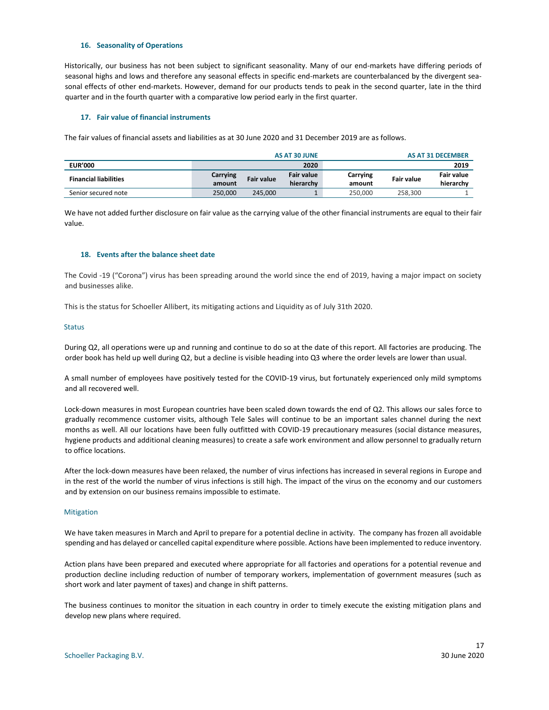#### **16. Seasonality of Operations**

Historically, our business has not been subject to significant seasonality. Many of our end-markets have differing periods of seasonal highs and lows and therefore any seasonal effects in specific end-markets are counterbalanced by the divergent seasonal effects of other end-markets. However, demand for our products tends to peak in the second quarter, late in the third quarter and in the fourth quarter with a comparative low period early in the first quarter.

#### **17. Fair value of financial instruments**

The fair values of financial assets and liabilities as at 30 June 2020 and 31 December 2019 are as follows.

| AS AT 30 JUNE   |                   |                   | <b>AS AT 31 DECEMBER</b> |            |            |
|-----------------|-------------------|-------------------|--------------------------|------------|------------|
|                 |                   | 2020              |                          |            | 2019       |
| <b>Carrying</b> | <b>Fair value</b> | <b>Fair value</b> | Carrying                 | Fair value | Fair value |
| amount          |                   | hierarchy         | amount                   |            | hierarchy  |
| 250.000         | 245.000           |                   | 250.000                  | 258.300    |            |
|                 |                   |                   |                          |            |            |

We have not added further disclosure on fair value as the carrying value of the other financial instruments are equal to their fair value.

#### **18. Events after the balance sheet date**

The Covid -19 ("Corona") virus has been spreading around the world since the end of 2019, having a major impact on society and businesses alike.

This is the status for Schoeller Allibert, its mitigating actions and Liquidity as of July 31th 2020.

#### Status

During Q2, all operations were up and running and continue to do so at the date of this report. All factories are producing. The order book has held up well during Q2, but a decline is visible heading into Q3 where the order levels are lower than usual.

A small number of employees have positively tested for the COVID-19 virus, but fortunately experienced only mild symptoms and all recovered well.

Lock-down measures in most European countries have been scaled down towards the end of Q2. This allows our sales force to gradually recommence customer visits, although Tele Sales will continue to be an important sales channel during the next months as well. All our locations have been fully outfitted with COVID-19 precautionary measures (social distance measures, hygiene products and additional cleaning measures) to create a safe work environment and allow personnel to gradually return to office locations.

After the lock-down measures have been relaxed, the number of virus infections has increased in several regions in Europe and in the rest of the world the number of virus infections is still high. The impact of the virus on the economy and our customers and by extension on our business remains impossible to estimate.

#### **Mitigation**

We have taken measures in March and April to prepare for a potential decline in activity. The company has frozen all avoidable spending and has delayed or cancelled capital expenditure where possible. Actions have been implemented to reduce inventory.

Action plans have been prepared and executed where appropriate for all factories and operations for a potential revenue and production decline including reduction of number of temporary workers, implementation of government measures (such as short work and later payment of taxes) and change in shift patterns.

The business continues to monitor the situation in each country in order to timely execute the existing mitigation plans and develop new plans where required.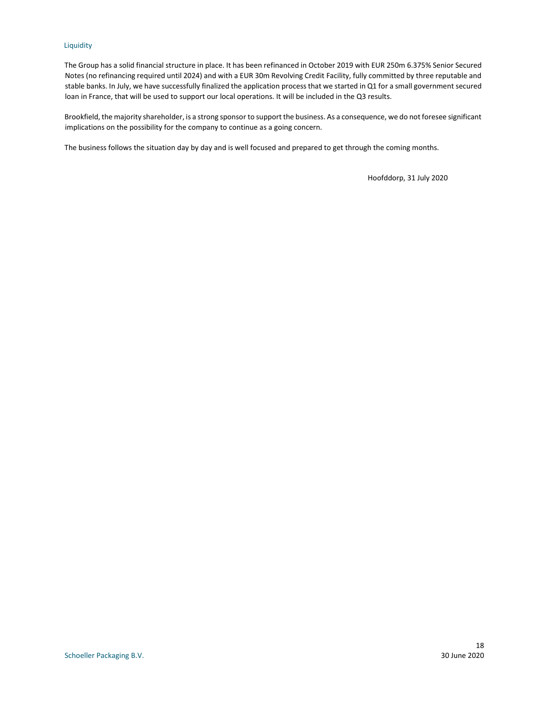#### Liquidity

The Group has a solid financial structure in place. It has been refinanced in October 2019 with EUR 250m 6.375% Senior Secured Notes (no refinancing required until 2024) and with a EUR 30m Revolving Credit Facility, fully committed by three reputable and stable banks. In July, we have successfully finalized the application process that we started in Q1 for a small government secured loan in France, that will be used to support our local operations. It will be included in the Q3 results.

Brookfield, the majority shareholder, is a strong sponsor to support the business. As a consequence, we do not foresee significant implications on the possibility for the company to continue as a going concern.

The business follows the situation day by day and is well focused and prepared to get through the coming months.

Hoofddorp, 31 July 2020